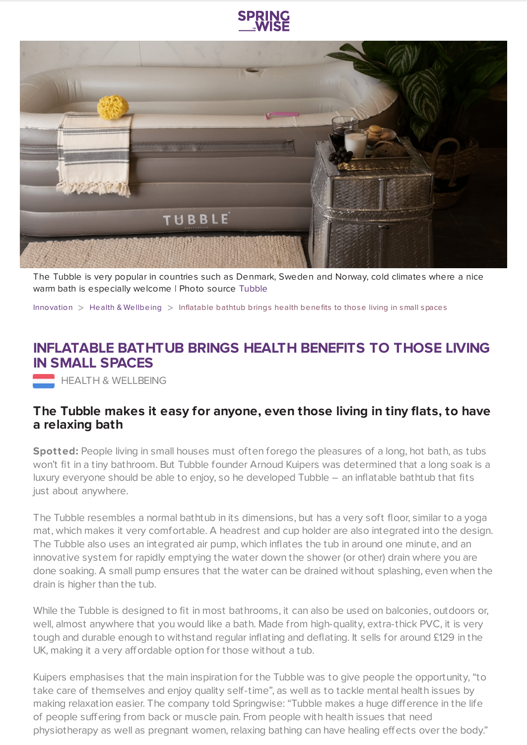



The Tubble is very popular in countries such as Denmark, Sweden and Norway, cold climates where a nice warm bath is especially welcome | Photo source [Tubble](https://tubble.com/wp-content/uploads/2018/10/TUBBLE-bad-taupe-HR-1-scaled.jpg)

[Innovation](https://www.springwise.com/search?type=innovation) > Health & [Wellbeing](https://www.springwise.com/search?type=innovation§or=health-wellbeing) > Inflatable bathtub brings health benefits to those living in small spaces

## **INFLATABLE BATHTUB BRINGS HEALTH BENEFITS TO THOSE LIVING IN SMALL SPACES**

**HEALTH & WELLBEING** 

## **The Tubble makes it easy for anyone, even those living in tiny flats, to have a relaxing bath**

**Spotted:** People living in small houses must often forego the pleasures of a long, hot bath, as tubs won't fit in a tiny bathroom. But Tubble founder Arnoud Kuipers was determined that a long soak is a luxury everyone should be able to enjoy, so he developed Tubble – an inflatable bathtub that fits just about anywhere.

The Tubble resembles a normal bathtub in its dimensions, but has a very soft floor, similar to a yoga mat, which makes it very comfortable. A headrest and cup holder are also integrated into the design. The Tubble also uses an integrated air pump, which inflates the tub in around one minute, and an innovative system for rapidly emptying the water down the shower (or other) drain where you are done soaking. A small pump ensures that the water can be drained without splashing, even when the drain is higher than the tub.

While the Tubble is designed to fit in most bathrooms, it can also be used on balconies, outdoors or, well, almost anywhere that you would like a bath. Made from high-quality, extra-thick PVC, it is very tough and durable enough to withstand regular inflating and deflating. It sells for around £129 in the UK, making it a very affordable option for those without a tub.

Kuipers emphasises that the main inspiration for the Tubble was to give people the opportunity, "to take care of themselves and enjoy quality self-time", as well as to tackle mental health issues by making relaxation easier. The company told Springwise: "Tubble makes a huge difference in the life of people suffering from back or muscle pain. From people with health issues that need physiotherapy as well as pregnant women, relaxing bathing can have healing effects over the body."